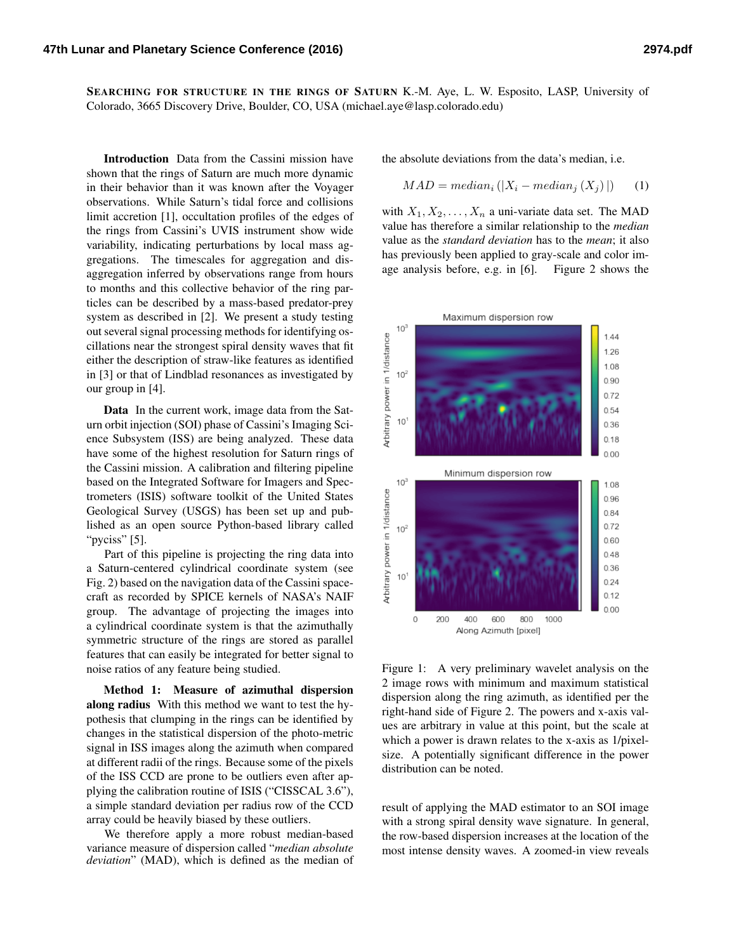SEARCHING FOR STRUCTURE IN THE RINGS OF SATURN K.-M. Aye, L. W. Esposito, LASP, University of Colorado, 3665 Discovery Drive, Boulder, CO, USA (michael.aye@lasp.colorado.edu)

Introduction Data from the Cassini mission have shown that the rings of Saturn are much more dynamic in their behavior than it was known after the Voyager observations. While Saturn's tidal force and collisions limit accretion [\[1\]](#page-1-0), occultation profiles of the edges of the rings from Cassini's UVIS instrument show wide variability, indicating perturbations by local mass aggregations. The timescales for aggregation and disaggregation inferred by observations range from hours to months and this collective behavior of the ring particles can be described by a mass-based predator-prey system as described in [\[2\]](#page-1-1). We present a study testing out several signal processing methods for identifying oscillations near the strongest spiral density waves that fit either the description of straw-like features as identified in [\[3\]](#page-1-2) or that of Lindblad resonances as investigated by our group in [\[4\]](#page-1-3).

Data In the current work, image data from the Saturn orbit injection (SOI) phase of Cassini's Imaging Science Subsystem (ISS) are being analyzed. These data have some of the highest resolution for Saturn rings of the Cassini mission. A calibration and filtering pipeline based on the Integrated Software for Imagers and Spectrometers (ISIS) software toolkit of the United States Geological Survey (USGS) has been set up and published as an open source Python-based library called "pyciss" [\[5\]](#page-1-4).

Part of this pipeline is projecting the ring data into a Saturn-centered cylindrical coordinate system (see Fig. [2\)](#page-1-5) based on the navigation data of the Cassini spacecraft as recorded by SPICE kernels of NASA's NAIF group. The advantage of projecting the images into a cylindrical coordinate system is that the azimuthally symmetric structure of the rings are stored as parallel features that can easily be integrated for better signal to noise ratios of any feature being studied.

Method 1: Measure of azimuthal dispersion along radius With this method we want to test the hypothesis that clumping in the rings can be identified by changes in the statistical dispersion of the photo-metric signal in ISS images along the azimuth when compared at different radii of the rings. Because some of the pixels of the ISS CCD are prone to be outliers even after applying the calibration routine of ISIS ("CISSCAL 3.6"), a simple standard deviation per radius row of the CCD array could be heavily biased by these outliers.

We therefore apply a more robust median-based variance measure of dispersion called "*median absolute deviation*" (MAD), which is defined as the median of the absolute deviations from the data's median, i.e.

$$
MAD = median_i (|X_i - median_j (X_j)|) \qquad (1)
$$

with  $X_1, X_2, \ldots, X_n$  a uni-variate data set. The MAD value has therefore a similar relationship to the *median* value as the *standard deviation* has to the *mean*; it also has previously been applied to gray-scale and color image analysis before, e.g. in [\[6\]](#page-1-6). Figure [2](#page-1-5) shows the



<span id="page-0-0"></span>Figure 1: A very preliminary wavelet analysis on the 2 image rows with minimum and maximum statistical dispersion along the ring azimuth, as identified per the right-hand side of Figure [2.](#page-1-5) The powers and x-axis values are arbitrary in value at this point, but the scale at which a power is drawn relates to the x-axis as 1/pixelsize. A potentially significant difference in the power distribution can be noted.

result of applying the MAD estimator to an SOI image with a strong spiral density wave signature. In general, the row-based dispersion increases at the location of the most intense density waves. A zoomed-in view reveals